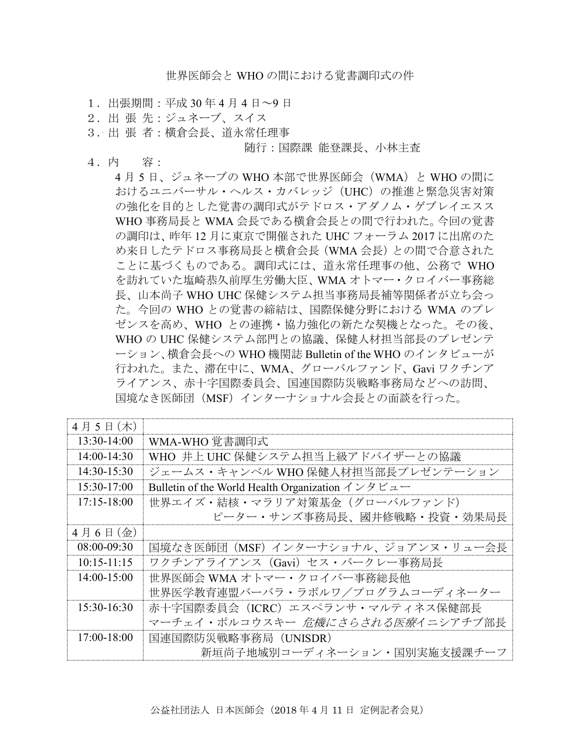世界医師会と WHO の間における覚書調印式の件

- 1.出張期間:平成 30 年 4 月 4 日~9 日
- 2.出 張 先:ジュネーブ、スイス
- 3.出 張 者:横倉会長、道永常任理事

#### 随行:国際課 能登課長、小林主査

4.内 容:

4 月 5 日、ジュネーブの WHO 本部で世界医師会(WMA)と WHO の間に おけるユニバーサル・ヘルス・カバレッジ(UHC)の推進と緊急災害対策 の強化を目的とした覚書の調印式がテドロス・アダノム・ゲブレイエスス WHO 事務局長と WMA 会長である横倉会長との間で行われた。今回の覚書 の調印は、昨年 12 月に東京で開催された UHC フォーラム 2017 に出席のた め来日したテドロス事務局長と横倉会長(WMA 会長)との間で合意された ことに基づくものである。調印式には、道永常任理事の他、公務で WHO を訪れていた塩崎恭久前厚生労働大臣、WMA オトマー・クロイバー事務総 長、山本尚子 WHO UHC 保健システム担当事務局長補等関係者が立ち会っ た。今回の WHO との覚書の締結は、国際保健分野における WMA のプレ ゼンスを高め、WHO との連携・協力強化の新たな契機となった。その後、 WHO の UHC 保健システム部門との協議、保健人材担当部長のプレゼンテ ーション、横倉会長への WHO 機関誌 Bulletin of the WHO のインタビューが 行われた。また、滞在中に、WMA、グローバルファンド、Gavi ワクチンア ライアンス、赤十字国際委員会、国連国際防災戦略事務局などへの訪問、 国境なき医師団(MSF)インターナショナル会長との面談を行った。

| 4月5日(木)         |                                                                                                               |
|-----------------|---------------------------------------------------------------------------------------------------------------|
| 13:30-14:00     | WMA-WHO 覚書調印式                                                                                                 |
| $14:00-14:30$   | WHO 井上 UHC 保健システム担当上級アドバイザーとの協議                                                                               |
| 14:30-15:30     | ジェームス・キャンベル WHO 保健人材担当部長プレゼンテーション                                                                             |
| 15:30-17:00     | Bulletin of the World Health Organization $\vec{\wedge}$ $\forall \vec{\wedge}$ $\vec{\wedge}$ $\vec{\wedge}$ |
| $17:15-18:00$   | 世界エイズ・結核・マラリア対策基金 (グローバルファンド)                                                                                 |
|                 | ピーター・サンズ事務局長、國井修戦略・投資・効果局長                                                                                    |
| $4$ 月 6 日 (金)   |                                                                                                               |
| $08:00-09:30$   | 国境なき医師団(MSF)インターナショナル、ジョアンヌ・リュー会長                                                                             |
| $10:15 - 11:15$ | ワクチンアライアンス(Gavi)セス・バークレー事務局長                                                                                  |
| 14:00-15:00     | 世界医師会 WMA オトマー・クロイバー事務総長他                                                                                     |
|                 | 世界医学教育連盟バーバラ・ラボルワ/プログラムコーディネーター                                                                               |
| 15:30-16:30     | 赤十字国際委員会 (ICRC) エスペランサ・マルティネス保健部長                                                                             |
|                 | マーチェイ・ポルコウスキー 危機にさらされる医療イニシアチブ部長                                                                              |
| 17:00-18:00     | 国連国際防災戦略事務局 (UNISDR)                                                                                          |
|                 | 新垣尚子地域別コーディネーション・国別実施支援課チーフ                                                                                   |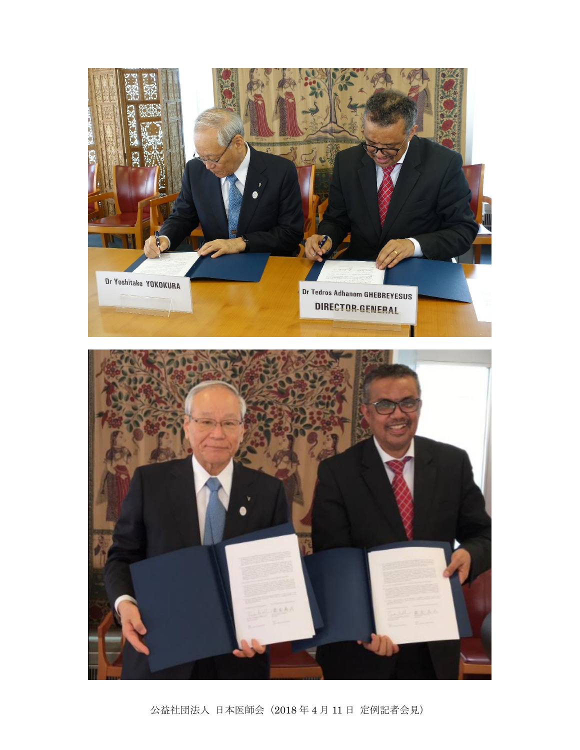

公益社団法人 日本医師会(2018 年 4 月 11 日 定例記者会見)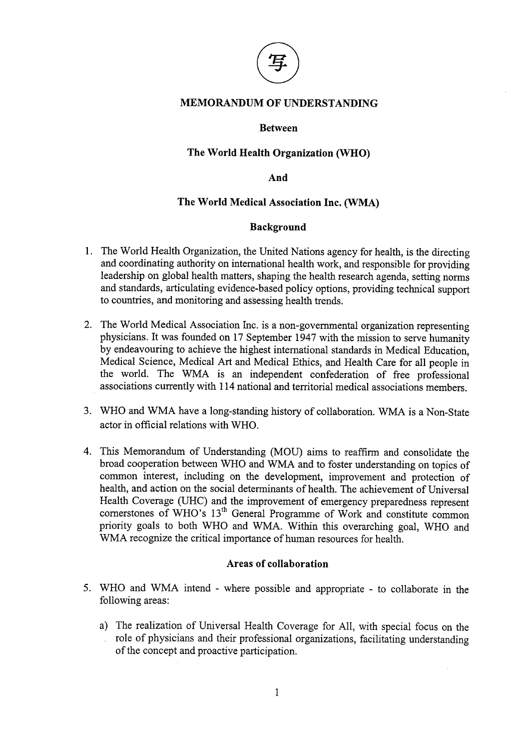

## **MEMORANDUM OF UNDERSTANDING**

### **Between**

### The World Health Organization (WHO)

And

## The World Medical Association Inc. (WMA)

## **Background**

- 1. The World Health Organization, the United Nations agency for health, is the directing and coordinating authority on international health work, and responsible for providing leadership on global health matters, shaping the health research agenda, setting norms and standards, articulating evidence-based policy options, providing technical support to countries, and monitoring and assessing health trends.
- 2. The World Medical Association Inc. is a non-governmental organization representing physicians. It was founded on 17 September 1947 with the mission to serve humanity by endeavouring to achieve the highest international standards in Medical Education. Medical Science, Medical Art and Medical Ethics, and Health Care for all people in the world. The WMA is an independent confederation of free professional associations currently with 114 national and territorial medical associations members.
- 3. WHO and WMA have a long-standing history of collaboration. WMA is a Non-State actor in official relations with WHO.
- 4. This Memorandum of Understanding (MOU) aims to reaffirm and consolidate the broad cooperation between WHO and WMA and to foster understanding on topics of common interest, including on the development, improvement and protection of health, and action on the social determinants of health. The achievement of Universal Health Coverage (UHC) and the improvement of emergency preparedness represent cornerstones of WHO's 13<sup>th</sup> General Programme of Work and constitute common priority goals to both WHO and WMA. Within this overarching goal, WHO and WMA recognize the critical importance of human resources for health.

### Areas of collaboration

- 5. WHO and WMA intend where possible and appropriate to collaborate in the following areas:
	- a) The realization of Universal Health Coverage for All, with special focus on the role of physicians and their professional organizations, facilitating understanding of the concept and proactive participation.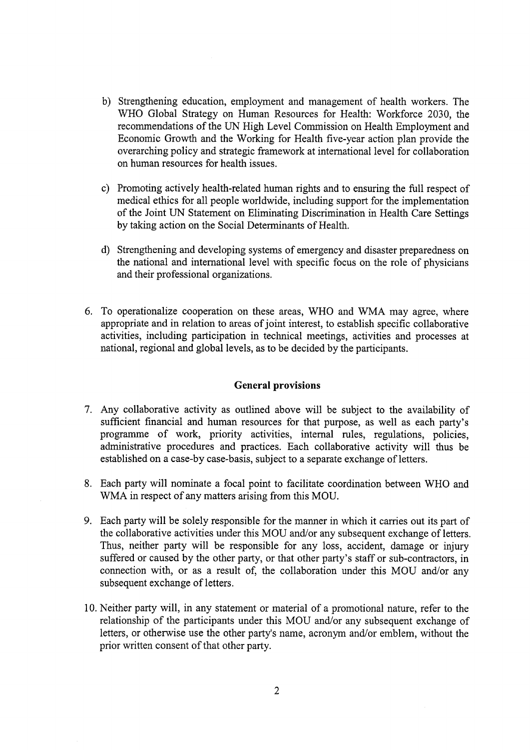- b) Strengthening education, employment and management of health workers. The WHO Global Strategy on Human Resources for Health: Workforce 2030, the recommendations of the UN High Level Commission on Health Employment and Economic Growth and the Working for Health five-year action plan provide the overarching policy and strategic framework at international level for collaboration on human resources for health issues.
- c) Promoting actively health-related human rights and to ensuring the full respect of medical ethics for all people worldwide, including support for the implementation of the Joint UN Statement on Eliminating Discrimination in Health Care Settings by taking action on the Social Determinants of Health.
- d) Strengthening and developing systems of emergency and disaster preparedness on the national and international level with specific focus on the role of physicians and their professional organizations.
- 6. To operationalize cooperation on these areas, WHO and WMA may agree, where appropriate and in relation to areas of joint interest, to establish specific collaborative activities, including participation in technical meetings, activities and processes at national, regional and global levels, as to be decided by the participants.

### **General provisions**

- 7. Any collaborative activity as outlined above will be subject to the availability of sufficient financial and human resources for that purpose, as well as each party's programme of work, priority activities, internal rules, regulations, policies, administrative procedures and practices. Each collaborative activity will thus be established on a case-by case-basis, subject to a separate exchange of letters.
- 8. Each party will nominate a focal point to facilitate coordination between WHO and WMA in respect of any matters arising from this MOU.
- 9. Each party will be solely responsible for the manner in which it carries out its part of the collaborative activities under this MOU and/or any subsequent exchange of letters. Thus, neither party will be responsible for any loss, accident, damage or injury suffered or caused by the other party, or that other party's staff or sub-contractors, in connection with, or as a result of, the collaboration under this MOU and/or any subsequent exchange of letters.
- 10. Neither party will, in any statement or material of a promotional nature, refer to the relationship of the participants under this MOU and/or any subsequent exchange of letters, or otherwise use the other party's name, acronym and/or emblem, without the prior written consent of that other party.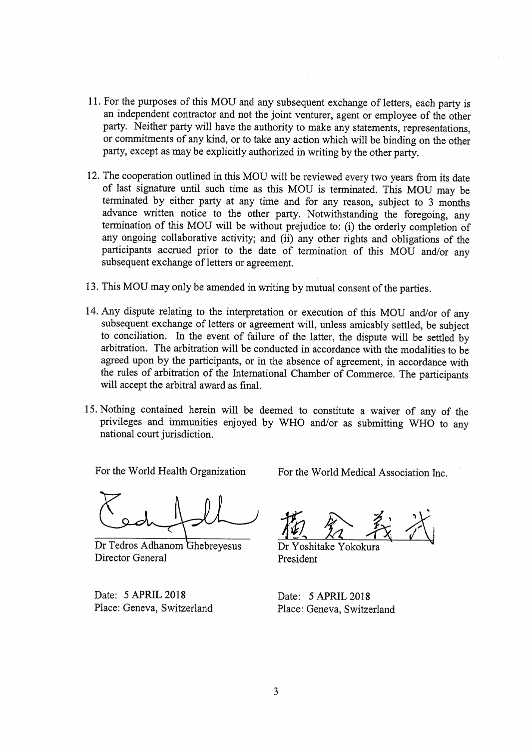- 11. For the purposes of this MOU and any subsequent exchange of letters, each party is an independent contractor and not the joint venturer, agent or employee of the other party. Neither party will have the authority to make any statements, representations, or commitments of any kind, or to take any action which will be binding on the other party, except as may be explicitly authorized in writing by the other party.
- 12. The cooperation outlined in this MOU will be reviewed every two years from its date of last signature until such time as this MOU is terminated. This MOU may be terminated by either party at any time and for any reason, subject to 3 months advance written notice to the other party. Notwithstanding the foregoing, any termination of this MOU will be without prejudice to: (i) the orderly completion of any ongoing collaborative activity; and (ii) any other rights and obligations of the participants accrued prior to the date of termination of this MOU and/or any subsequent exchange of letters or agreement.
- 13. This MOU may only be amended in writing by mutual consent of the parties.
- 14. Any dispute relating to the interpretation or execution of this MOU and/or of any subsequent exchange of letters or agreement will, unless amicably settled, be subject to conciliation. In the event of failure of the latter, the dispute will be settled by arbitration. The arbitration will be conducted in accordance with the modalities to be agreed upon by the participants, or in the absence of agreement, in accordance with the rules of arbitration of the International Chamber of Commerce. The participants will accept the arbitral award as final.
- 15. Nothing contained herein will be deemed to constitute a waiver of any of the privileges and immunities enjoyed by WHO and/or as submitting WHO to any national court jurisdiction.

For the World Health Organization

Dr Tedros Adhanom Ghebreyesus Director General

Date: 5 APRIL 2018 Place: Geneva, Switzerland For the World Medical Association Inc.

Dr Yoshitake Yokokura President

Date: 5 APRIL 2018 Place: Geneva, Switzerland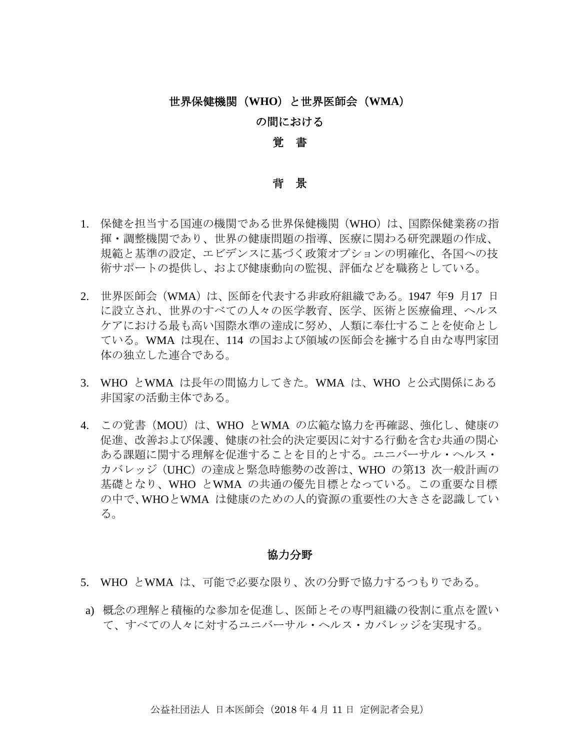# 世界保健機関(**WHO**)と世界医師会(**WMA**)

# の間における

## 覚 書

### 背 景

- 1. 保健を担当する国連の機関である世界保健機関(WHO)は、国際保健業務の指 揮・調整機関であり、世界の健康問題の指導、医療に関わる研究課題の作成、 規範と基準の設定、エビデンスに基づく政策オプションの明確化、各国への技 術サポートの提供し、および健康動向の監視、評価などを職務としている。
- 2. 世界医師会(WMA)は、医師を代表する非政府組織である。1947 年9 月17 日 に設立され、世界のすべての人々の医学教育、医学、医術と医療倫理、ヘルス ケアにおける最も高い国際水準の達成に努め、人類に奉仕することを使命とし ている。WMA は現在、114 の国および領域の医師会を擁する自由な専門家団 体の独立した連合である。
- 3. WHO とWMA は長年の間協力してきた。WMA は、WHO と公式関係にある 非国家の活動主体である。
- 4. この覚書 (MOU) は、WHO とWMA の広範な協力を再確認、強化し、健康の 促進、改善および保護、健康の社会的決定要因に対する行動を含む共通の関心 ある課題に関する理解を促進することを目的とする。ユニバーサル・ヘルス・ カバレッジ(UHC)の達成と緊急時態勢の改善は、WHO の第13 次一般計画の 基礎となり、WHO とWMA の共通の優先目標となっている。この重要な目標 の中で、WHOとWMA は健康のための人的資源の重要性の大きさを認識してい る。

### 協力分野

- 5. WHO とWMA は、可能で必要な限り、次の分野で協力するつもりである。
- a) 概念の理解と積極的な参加を促進し、医師とその専門組織の役割に重点を置い て、すべての人々に対するユニバーサル・ヘルス・カバレッジを実現する。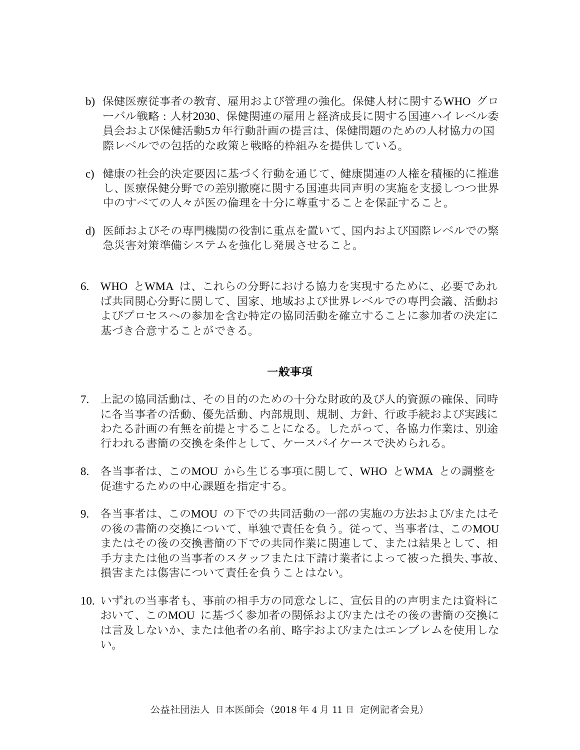- b) 保健医療従事者の教育、雇用および管理の強化。保健人材に関するWHO グロ ーバル戦略:人材2030、保健関連の雇用と経済成長に関する国連ハイレベル委 員会および保健活動5カ年行動計画の提言は、保健問題のための人材協力の国 際レベルでの包括的な政策と戦略的枠組みを提供している。
- c) 健康の社会的決定要因に基づく行動を通じて、健康関連の人権を積極的に推進 し、医療保健分野での差別撤廃に関する国連共同声明の実施を支援しつつ世界 中のすべての人々が医の倫理を十分に尊重することを保証すること。
- d) 医師およびその専門機関の役割に重点を置いて、国内および国際レベルでの緊 急災害対策準備システムを強化し発展させること。
- 6. WHO とWMA は、これらの分野における協力を実現するために、必要であれ ば共同関心分野に関して、国家、地域および世界レベルでの専門会議、活動お よびプロセスへの参加を含む特定の協同活動を確立することに参加者の決定に 基づき合意することができる。

#### 一般事項

- 7. 上記の協同活動は、その目的のための十分な財政的及び人的資源の確保、同時 に各当事者の活動、優先活動、内部規則、規制、方針、行政手続および実践に わたる計画の有無を前提とすることになる。したがって、各協力作業は、別途 行われる書簡の交換を条件として、ケースバイケースで決められる。
- 8. 各当事者は、このMOU から生じる事項に関して、WHO とWMA との調整を 促進するための中心課題を指定する。
- 9. 各当事者は、このMOU の下での共同活動の一部の実施の方法および/またはそ の後の書簡の交換について、単独で責任を負う。従って、当事者は、このMOU またはその後の交換書簡の下での共同作業に関連して、または結果として、相 手方または他の当事者のスタッフまたは下請け業者によって被った損失、事故、 損害または傷害について責任を負うことはない。
- 10. いずれの当事者も、事前の相手方の同意なしに、宣伝目的の声明または資料に おいて、このMOU に基づく参加者の関係および/またはその後の書簡の交換に は言及しないか、または他者の名前、略字および/またはエンブレムを使用しな い。